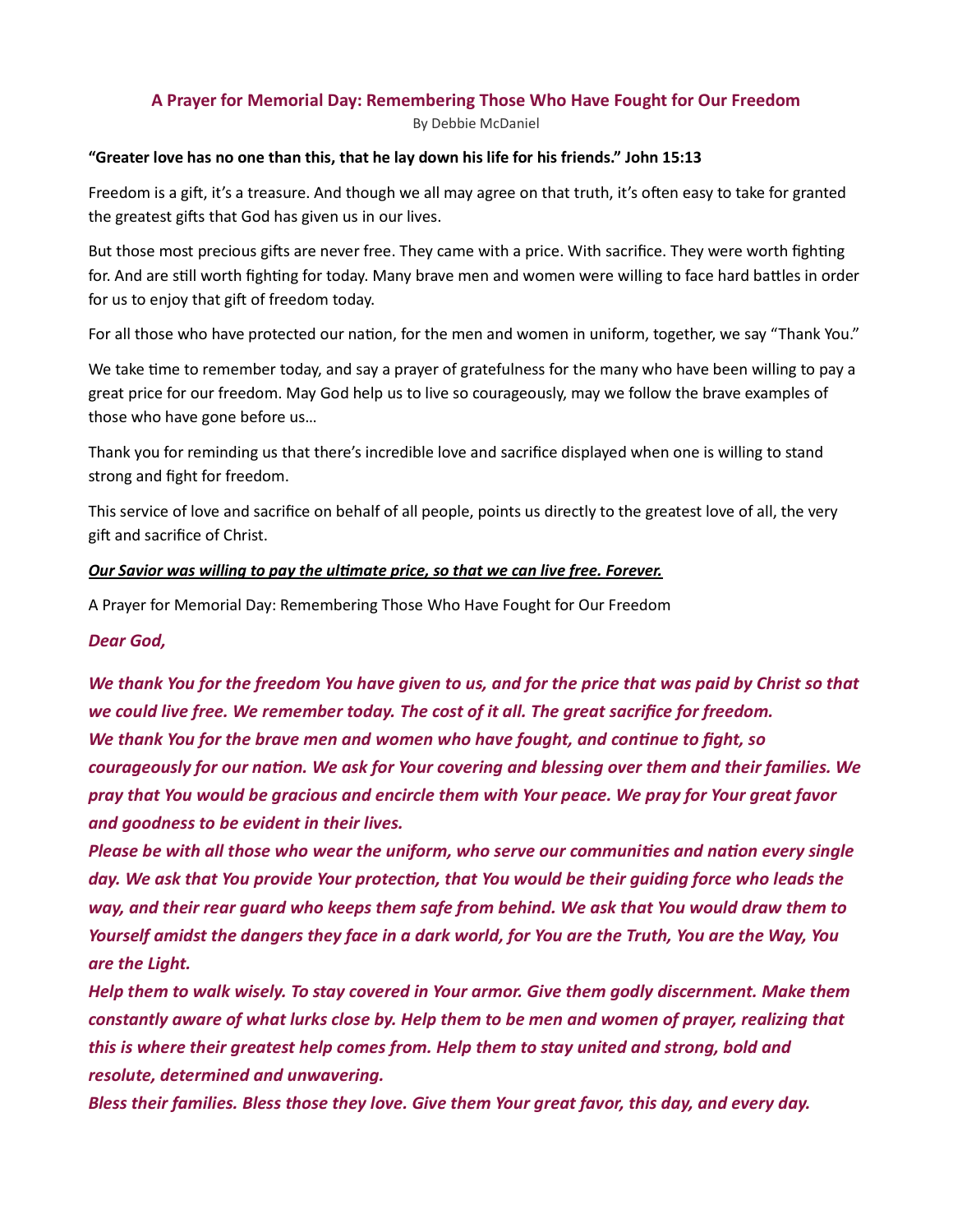## A Prayer for Memorial Day: Remembering Those Who Have Fought for Our Freedom

By Debbie McDaniel

## "Greater love has no one than this, that he lay down his life for his friends." John 15:13

Freedom is a gift, it's a treasure. And though we all may agree on that truth, it's often easy to take for granted the greatest gifts that God has given us in our lives.

But those most precious gifts are never free. They came with a price. With sacrifice. They were worth fighting for. And are still worth fighting for today. Many brave men and women were willing to face hard battles in order for us to enjoy that gift of freedom today.

For all those who have protected our nation, for the men and women in uniform, together, we say "Thank You."

We take time to remember today, and say a prayer of gratefulness for the many who have been willing to pay a great price for our freedom. May God help us to live so courageously, may we follow the brave examples of those who have gone before us…

Thank you for reminding us that there's incredible love and sacrifice displayed when one is willing to stand strong and fight for freedom.

This service of love and sacrifice on behalf of all people, points us directly to the greatest love of all, the very gift and sacrifice of Christ.

## Our Savior was willing to pay the ultimate price, so that we can live free. Forever.

A Prayer for Memorial Day: Remembering Those Who Have Fought for Our Freedom

Dear God,

We thank You for the freedom You have given to us, and for the price that was paid by Christ so that we could live free. We remember today. The cost of it all. The great sacrifice for freedom. We thank You for the brave men and women who have fought, and continue to fight, so courageously for our nation. We ask for Your covering and blessing over them and their families. We pray that You would be gracious and encircle them with Your peace. We pray for Your great favor and goodness to be evident in their lives.

Please be with all those who wear the uniform, who serve our communities and nation every single day. We ask that You provide Your protection, that You would be their guiding force who leads the way, and their rear guard who keeps them safe from behind. We ask that You would draw them to Yourself amidst the dangers they face in a dark world, for You are the Truth, You are the Way, You are the Light.

Help them to walk wisely. To stay covered in Your armor. Give them godly discernment. Make them constantly aware of what lurks close by. Help them to be men and women of prayer, realizing that this is where their greatest help comes from. Help them to stay united and strong, bold and resolute, determined and unwavering.

Bless their families. Bless those they love. Give them Your great favor, this day, and every day.